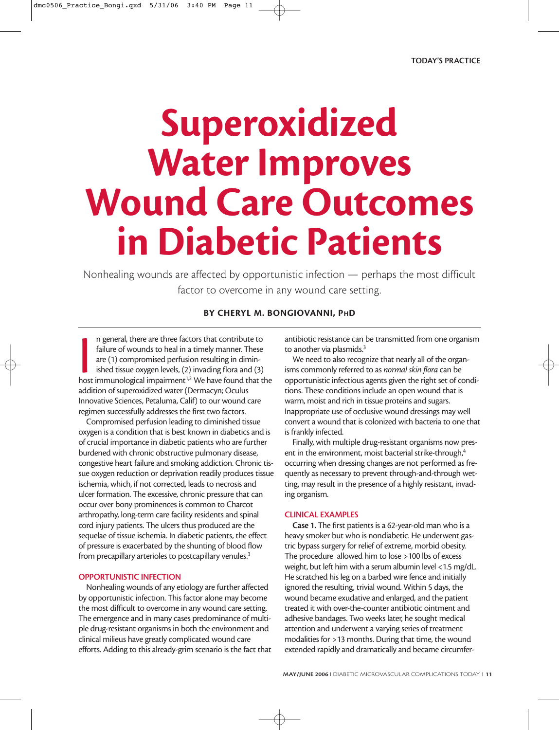# **Superoxidized Water Improves Wound Care Outcomes in Diabetic Patients**

Nonhealing wounds are affected by opportunistic infection — perhaps the most difficult factor to overcome in any wound care setting.

## **BY CHERYL M. BONGIOVANNI, PHD**

In general, there are three factors that contribute to failure of wounds to heal in a timely manner. These are (1) compromised perfusion resulting in diminished tissue oxygen levels, (2) invading flora and (3) host immunol n general, there are three factors that contribute to failure of wounds to heal in a timely manner. These are (1) compromised perfusion resulting in diminished tissue oxygen levels, (2) invading flora and (3) addition of superoxidized water (Dermacyn; Oculus Innovative Sciences, Petaluma, Calif) to our wound care regimen successfully addresses the first two factors.

Compromised perfusion leading to diminished tissue oxygen is a condition that is best known in diabetics and is of crucial importance in diabetic patients who are further burdened with chronic obstructive pulmonary disease, congestive heart failure and smoking addiction. Chronic tissue oxygen reduction or deprivation readily produces tissue ischemia, which, if not corrected, leads to necrosis and ulcer formation. The excessive, chronic pressure that can occur over bony prominences is common to Charcot arthropathy, long-term care facility residents and spinal cord injury patients. The ulcers thus produced are the sequelae of tissue ischemia. In diabetic patients, the effect of pressure is exacerbated by the shunting of blood flow from precapillary arterioles to postcapillary venules.<sup>3</sup>

### **OPPORTUNISTIC INFECTION**

Nonhealing wounds of any etiology are further affected by opportunistic infection. This factor alone may become the most difficult to overcome in any wound care setting. The emergence and in many cases predominance of multiple drug-resistant organisms in both the environment and clinical milieus have greatly complicated wound care efforts. Adding to this already-grim scenario is the fact that antibiotic resistance can be transmitted from one organism to another via plasmids.<sup>3</sup>

We need to also recognize that nearly all of the organisms commonly referred to as *normal skin flora* can be opportunistic infectious agents given the right set of conditions. These conditions include an open wound that is warm, moist and rich in tissue proteins and sugars. Inappropriate use of occlusive wound dressings may well convert a wound that is colonized with bacteria to one that is frankly infected.

Finally, with multiple drug-resistant organisms now present in the environment, moist bacterial strike-through,<sup>4</sup> occurring when dressing changes are not performed as frequently as necessary to prevent through-and-through wetting, may result in the presence of a highly resistant, invading organism.

### **CLINICAL EXAMPLES**

**Case 1.** The first patients is a 62-year-old man who is a heavy smoker but who is nondiabetic. He underwent gastric bypass surgery for relief of extreme, morbid obesity. The procedure allowed him to lose >100 lbs of excess weight, but left him with a serum albumin level <1.5 mg/dL. He scratched his leg on a barbed wire fence and initially ignored the resulting, trivial wound. Within 5 days, the wound became exudative and enlarged, and the patient treated it with over-the-counter antibiotic ointment and adhesive bandages. Two weeks later, he sought medical attention and underwent a varying series of treatment modalities for >13 months. During that time, the wound extended rapidly and dramatically and became circumfer-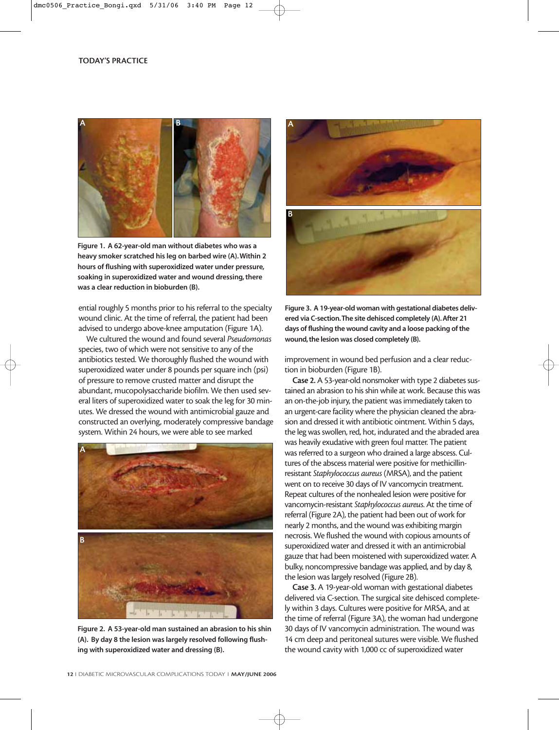

**Figure 1. A 62-year-old man without diabetes who was a heavy smoker scratched his leg on barbed wire (A). Within 2 hours of flushing with superoxidized water under pressure, soaking in superoxidized water and wound dressing, there was a clear reduction in bioburden (B).**

ential roughly 5 months prior to his referral to the specialty wound clinic. At the time of referral, the patient had been advised to undergo above-knee amputation (Figure 1A).

We cultured the wound and found several *Pseudomonas* species, two of which were not sensitive to any of the antibiotics tested. We thoroughly flushed the wound with superoxidized water under 8 pounds per square inch (psi) of pressure to remove crusted matter and disrupt the abundant, mucopolysaccharide biofilm. We then used several liters of superoxidized water to soak the leg for 30 minutes. We dressed the wound with antimicrobial gauze and constructed an overlying, moderately compressive bandage system. Within 24 hours, we were able to see marked



**Figure 2. A 53-year-old man sustained an abrasion to his shin (A). By day 8 the lesion was largely resolved following flushing with superoxidized water and dressing (B).**



**Figure 3. A 19-year-old woman with gestational diabetes delivered via C-section.The site dehisced completely (A). After 21 days of flushing the wound cavity and a loose packing of the wound, the lesion was closed completely (B).**

improvement in wound bed perfusion and a clear reduction in bioburden (Figure 1B).

**Case 2.** A 53-year-old nonsmoker with type 2 diabetes sustained an abrasion to his shin while at work. Because this was an on-the-job injury, the patient was immediately taken to an urgent-care facility where the physician cleaned the abrasion and dressed it with antibiotic ointment. Within 5 days, the leg was swollen, red, hot, indurated and the abraded area was heavily exudative with green foul matter. The patient was referred to a surgeon who drained a large abscess. Cultures of the abscess material were positive for methicillinresistant *Staphylococcus aureus* (MRSA), and the patient went on to receive 30 days of IV vancomycin treatment. Repeat cultures of the nonhealed lesion were positive for vancomycin-resistant *Staphylococcus aureus*. At the time of referral (Figure 2A), the patient had been out of work for nearly 2 months, and the wound was exhibiting margin necrosis. We flushed the wound with copious amounts of superoxidized water and dressed it with an antimicrobial gauze that had been moistened with superoxidized water. A bulky, noncompressive bandage was applied, and by day 8, the lesion was largely resolved (Figure 2B).

**Case 3.** A 19-year-old woman with gestational diabetes delivered via C-section. The surgical site dehisced completely within 3 days. Cultures were positive for MRSA, and at the time of referral (Figure 3A), the woman had undergone 30 days of IV vancomycin administration. The wound was 14 cm deep and peritoneal sutures were visible. We flushed the wound cavity with 1,000 cc of superoxidized water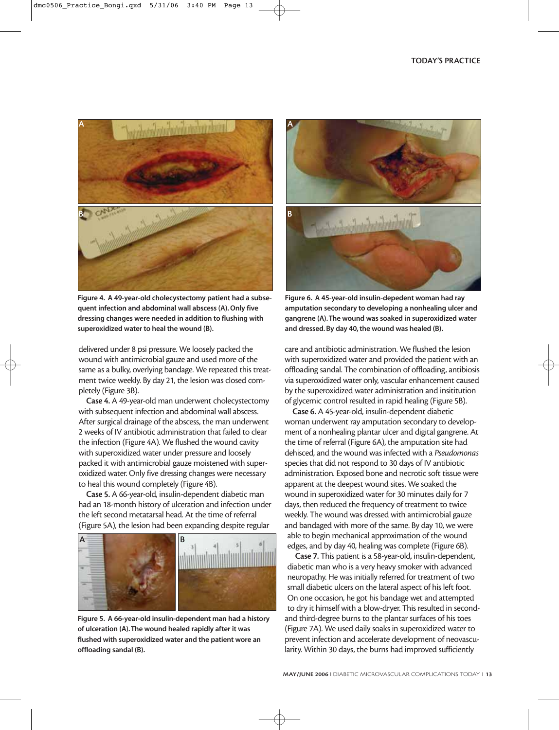

**Figure 4. A 49-year-old cholecystectomy patient had a subsequent infection and abdominal wall abscess (A). Only five dressing changes were needed in addition to flushing with superoxidized water to heal the wound (B).**

delivered under 8 psi pressure. We loosely packed the wound with antimicrobial gauze and used more of the same as a bulky, overlying bandage. We repeated this treatment twice weekly. By day 21, the lesion was closed completely (Figure 3B).

**Case 4.** A 49-year-old man underwent cholecystectomy with subsequent infection and abdominal wall abscess. After surgical drainage of the abscess, the man underwent 2 weeks of IV antibiotic administration that failed to clear the infection (Figure 4A). We flushed the wound cavity with superoxidized water under pressure and loosely packed it with antimicrobial gauze moistened with superoxidized water. Only five dressing changes were necessary to heal this wound completely (Figure 4B).

**Case 5.** A 66-year-old, insulin-dependent diabetic man had an 18-month history of ulceration and infection under the left second metatarsal head. At the time of referral (Figure 5A), the lesion had been expanding despite regular



**Figure 5. A 66-year-old insulin-dependent man had a history of ulceration (A).The wound healed rapidly after it was flushed with superoxidized water and the patient wore an offloading sandal (B).**



**Figure 6. A 45-year-old insulin-depedent woman had ray amputation secondary to developing a nonhealing ulcer and gangrene (A).The wound was soaked in superoxidized water and dressed. By day 40, the wound was healed (B).**

care and antibiotic administration. We flushed the lesion with superoxidized water and provided the patient with an offloading sandal. The combination of offloading, antibiosis via superoxidized water only, vascular enhancement caused by the superoxidized water administration and insititution of glycemic control resulted in rapid healing (Figure 5B).

**Case 6.** A 45-year-old, insulin-dependent diabetic woman underwent ray amputation secondary to development of a nonhealing plantar ulcer and digital gangrene. At the time of referral (Figure 6A), the amputation site had dehisced, and the wound was infected with a *Pseudomonas* species that did not respond to 30 days of IV antibiotic administration. Exposed bone and necrotic soft tissue were apparent at the deepest wound sites. We soaked the wound in superoxidized water for 30 minutes daily for 7 days, then reduced the frequency of treatment to twice weekly. The wound was dressed with antimicrobial gauze and bandaged with more of the same. By day 10, we were able to begin mechanical approximation of the wound edges, and by day 40, healing was complete (Figure 6B).

**Case 7.** This patient is a 58-year-old, insulin-dependent, diabetic man who is a very heavy smoker with advanced neuropathy. He was initially referred for treatment of two small diabetic ulcers on the lateral aspect of his left foot. On one occasion, he got his bandage wet and attempted to dry it himself with a blow-dryer. This resulted in secondand third-degree burns to the plantar surfaces of his toes (Figure 7A). We used daily soaks in superoxidized water to prevent infection and accelerate development of neovascularity. Within 30 days, the burns had improved sufficiently